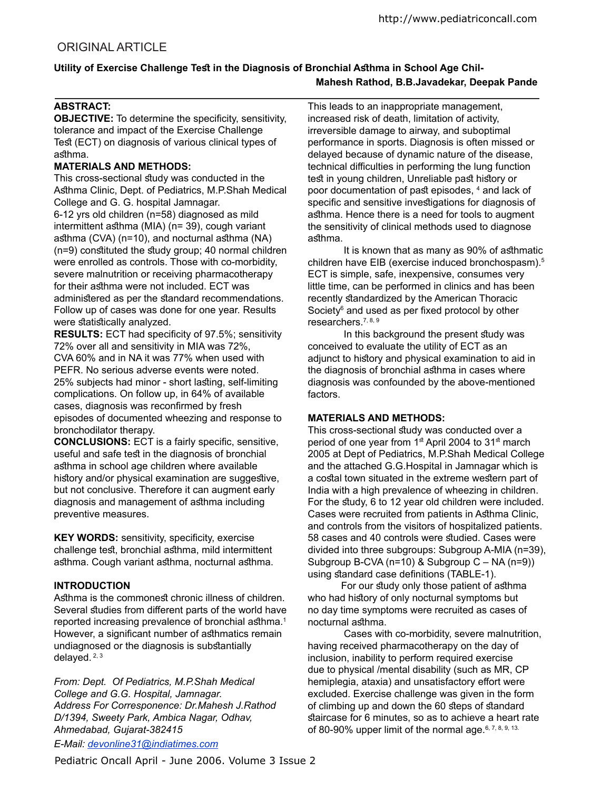# Utility of Exercise Challenge Test in the Diagnosis of Bronchial Asthma in School Age Chil-**Mahesh Rathod, B.B.Javadekar, Deepak Pande**

## **ABSTRACT:**

**OBJECTIVE:** To determine the specificity, sensitivity, tolerance and impact of the Exercise Challenge Test (ECT) on diagnosis of various clinical types of asthma.

#### **MATERIALS AND METHODS:**

This cross-sectional study was conducted in the Asthma Clinic, Dept. of Pediatrics, M.P.Shah Medical College and G. G. hospital Jamnagar.

6-12 yrs old children (n=58) diagnosed as mild intermittent asthma (MIA) ( $n=$  39), cough variant asthma (CVA) (n=10), and nocturnal asthma (NA)  $(n=9)$  constituted the study group; 40 normal children were enrolled as controls. Those with co-morbidity, severe malnutrition or receiving pharmacotherapy for their asthma were not included. ECT was administered as per the standard recommendations. Follow up of cases was done for one year. Results were statistically analyzed.

**RESULTS:** ECT had specificity of 97.5%; sensitivity 72% over all and sensitivity in MIA was 72%, CVA 60% and in NA it was 77% when used with PEFR. No serious adverse events were noted. 25% subjects had minor - short lasting, self-limiting complications. On follow up, in 64% of available cases, diagnosis was reconfirmed by fresh episodes of documented wheezing and response to bronchodilator therapy.

**CONCLUSIONS:** ECT is a fairly specific, sensitive, useful and safe test in the diagnosis of bronchial asthma in school age children where available history and/or physical examination are suggestive, but not conclusive. Therefore it can augment early diagnosis and management of asthma including preventive measures.

**KEY WORDS:** sensitivity, specificity, exercise challenge test, bronchial asthma, mild intermittent asthma. Cough variant asthma, nocturnal asthma.

## **INTRODUCTION**

Asthma is the commonest chronic illness of children. Several studies from different parts of the world have reported increasing prevalence of bronchial asthma.<sup>1</sup> However, a significant number of asthmatics remain undiagnosed or the diagnosis is substantially delayed. 2, 3

*From: Dept. Of Pediatrics, M.P.Shah Medical College and G.G. Hospital, Jamnagar. Address For Corresponence: Dr.Mahesh J.Rathod D/1394, Sweety Park, Ambica Nagar, Odhav, Ahmedabad, Gujarat-382415*

*E-Mail: devonline31@indiatimes.com*

This leads to an inappropriate management, increased risk of death, limitation of activity, irreversible damage to airway, and suboptimal performance in sports. Diagnosis is often missed or delayed because of dynamic nature of the disease, technical difficulties in performing the lung function test in young children, Unreliable past history or poor documentation of past episodes, <sup>4</sup> and lack of specific and sensitive investigations for diagnosis of asthma. Hence there is a need for tools to augment the sensitivity of clinical methods used to diagnose asthma.

It is known that as many as 90% of asthmatic children have EIB (exercise induced bronchospasm).<sup>5</sup> ECT is simple, safe, inexpensive, consumes very little time, can be performed in clinics and has been recently standardized by the American Thoracic Society<sup>6</sup> and used as per fixed protocol by other researchers.<sup>7, 8, 9</sup>

In this background the present study was conceived to evaluate the utility of ECT as an adjunct to history and physical examination to aid in the diagnosis of bronchial asthma in cases where diagnosis was confounded by the above-mentioned factors.

#### **MATERIALS AND METHODS:**

This cross-sectional study was conducted over a period of one year from 1st April 2004 to 31st march 2005 at Dept of Pediatrics, M.P.Shah Medical College and the attached G.G.Hospital in Jamnagar which is a costal town situated in the extreme western part of India with a high prevalence of wheezing in children. For the study, 6 to 12 year old children were included. Cases were recruited from patients in Athma Clinic, and controls from the visitors of hospitalized patients. 58 cases and 40 controls were studied. Cases were divided into three subgroups: Subgroup A-MIA (n=39), Subgroup B-CVA (n=10) & Subgroup C – NA (n=9)) using standard case definitions (TABLE-1).

For our study only those patient of asthma who had history of only nocturnal symptoms but no day time symptoms were recruited as cases of nocturnal asthma.

 Cases with co-morbidity, severe malnutrition, having received pharmacotherapy on the day of inclusion, inability to perform required exercise due to physical /mental disability (such as MR, CP hemiplegia, ataxia) and unsatisfactory effort were excluded. Exercise challenge was given in the form of climbing up and down the 60 steps of standard staircase for 6 minutes, so as to achieve a heart rate of 80-90% upper limit of the normal age. 6, 7, 8, 9, 13.

Pediatric Oncall April - June 2006. Volume 3 Issue 2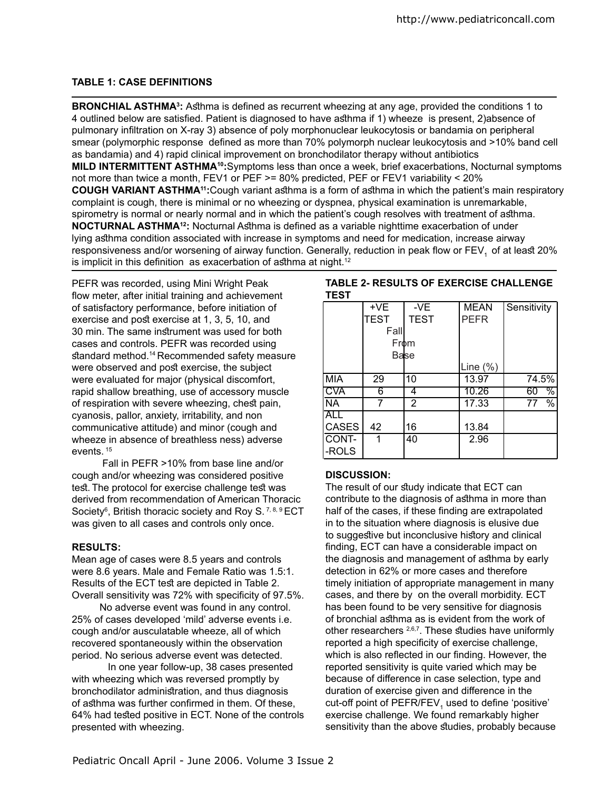## **TABLE 1: CASE DEFINITIONS**

BRONCHIAL ASTHMA<sup>3</sup>: Asthma is defined as recurrent wheezing at any age, provided the conditions 1 to 4 outlined below are satisied. Patient is diagnosed to have athma if 1) wheeze is present, 2)absence of pulmonary iniltration on X-ray 3) absence of poly morphonuclear leukocytosis or bandamia on peripheral smear (polymorphic response defined as more than 70% polymorph nuclear leukocytosis and >10% band cell as bandamia) and 4) rapid clinical improvement on bronchodilator therapy without antibiotics **MILD INTERMITTENT ASTHMA<sup>10</sup>:**Symptoms less than once a week, brief exacerbations, Nocturnal symptoms not more than twice a month, FEV1 or PEF >= 80% predicted, PEF or FEV1 variability < 20% **COUGH VARIANT ASTHMA<sup>11</sup>:**Cough variant athma is a form of athma in which the patient's main respiratory complaint is cough, there is minimal or no wheezing or dyspnea, physical examination is unremarkable, spirometry is normal or nearly normal and in which the patient's cough resolves with treatment of asthma. **NOCTURNAL ASTHMA<sup>12</sup>:** Nocturnal Asthma is defined as a variable nighttime exacerbation of under lying athma condition associated with increase in symptoms and need for medication, increase airway responsiveness and/or worsening of airway function. Generally, reduction in peak flow or FEV<sub>1</sub> of at least 20% is implicit in this definition as exacerbation of asthma at night.<sup>12</sup>

PEFR was recorded, using Mini Wright Peak flow meter, after initial training and achievement of satisfactory performance, before initiation of exercise and post exercise at 1, 3, 5, 10, and 30 min. The same instrument was used for both cases and controls. PEFR was recorded using standard method.<sup>14</sup> Recommended safety measure were observed and post exercise, the subject were evaluated for major (physical discomfort, rapid shallow breathing, use of accessory muscle of respiration with severe wheezing, chest pain, cyanosis, pallor, anxiety, irritability, and non communicative attitude) and minor (cough and wheeze in absence of breathless ness) adverse events. <sup>15</sup>

 Fall in PEFR >10% from base line and/or cough and/or wheezing was considered positive test. The protocol for exercise challenge test was derived from recommendation of American Thoracic Society<sup>6</sup>, British thoracic society and Roy S.<sup>7,8,9</sup> ECT was given to all cases and controls only once.

## **RESULTS:**

Mean age of cases were 8.5 years and controls were 8.6 years. Male and Female Ratio was 1.5:1. Results of the ECT test are depicted in Table 2. Overall sensitivity was 72% with specificity of 97.5%.

 No adverse event was found in any control. 25% of cases developed 'mild' adverse events i.e. cough and/or ausculatable wheeze, all of which recovered spontaneously within the observation period. No serious adverse event was detected.

 In one year follow-up, 38 cases presented with wheezing which was reversed promptly by bronchodilator administration, and thus diagnosis of asthma was further confirmed in them. Of these, 64% had tested positive in ECT. None of the controls presented with wheezing.

#### **TABLE 2- RESULTS OF EXERCISE CHALLENGE TEST**

|                          | $+\sqrt{E}$ | $-\sqrt{E}$ | <b>MEAN</b> | Sensitivity           |
|--------------------------|-------------|-------------|-------------|-----------------------|
|                          | TEST        | <b>TEST</b> | <b>PEFR</b> |                       |
|                          | Fall        |             |             |                       |
|                          | <b>From</b> |             |             |                       |
|                          | Balse       |             |             |                       |
|                          |             |             | Line (%)    |                       |
| <b>MIA</b>               | 29          | 10          | 13.97       | 74.5%                 |
| <b>CVA</b>               | 6           |             | 10.26       | ℅<br>60               |
| $\overline{\mathsf{NA}}$ |             | 2           | 17.33       | $\overline{\%}$<br>77 |
| <b>ALL</b>               |             |             |             |                       |
| <b>CASES</b>             | 42          | 16          | 13.84       |                       |
| CONT-                    |             | 40          | 2.96        |                       |
| -ROLS                    |             |             |             |                       |

## **DISCUSSION:**

The result of our study indicate that ECT can contribute to the diagnosis of athma in more than half of the cases, if these finding are extrapolated in to the situation where diagnosis is elusive due to suggestive but inconclusive history and clinical inding, ECT can have a considerable impact on the diagnosis and management of asthma by early detection in 62% or more cases and therefore timely initiation of appropriate management in many cases, and there by on the overall morbidity. ECT has been found to be very sensitive for diagnosis of bronchial asthma as is evident from the work of other researchers  $2,6,7$ . These studies have uniformly reported a high specificity of exercise challenge, which is also reflected in our finding. However, the reported sensitivity is quite varied which may be because of diference in case selection, type and duration of exercise given and diference in the cut-off point of  $\mathsf{PEFR}$ /FEV $_{_1}$  used to define 'positive' exercise challenge. We found remarkably higher sensitivity than the above studies, probably because